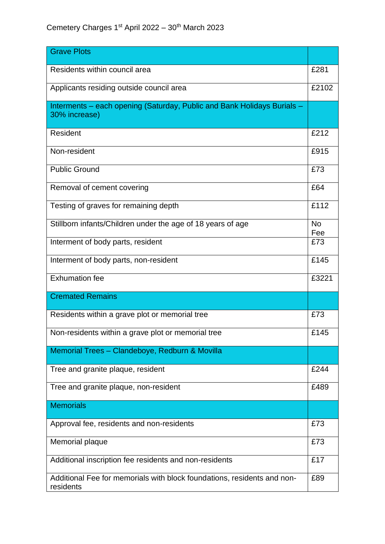| <b>Grave Plots</b>                                                                       |                  |
|------------------------------------------------------------------------------------------|------------------|
| Residents within council area                                                            | £281             |
| Applicants residing outside council area                                                 | £2102            |
| Interments - each opening (Saturday, Public and Bank Holidays Burials -<br>30% increase) |                  |
| Resident                                                                                 | £212             |
| Non-resident                                                                             | £915             |
| <b>Public Ground</b>                                                                     | £73              |
| Removal of cement covering                                                               | £64              |
| Testing of graves for remaining depth                                                    | £112             |
| Stillborn infants/Children under the age of 18 years of age                              | <b>No</b><br>Fee |
| Interment of body parts, resident                                                        | £73              |
| Interment of body parts, non-resident                                                    | £145             |
| <b>Exhumation fee</b>                                                                    | £3221            |
| <b>Cremated Remains</b>                                                                  |                  |
| Residents within a grave plot or memorial tree                                           | £73              |
| Non-residents within a grave plot or memorial tree                                       | £145             |
| Memorial Trees - Clandeboye, Redburn & Movilla                                           |                  |
| Tree and granite plaque, resident                                                        | £244             |
| Tree and granite plaque, non-resident                                                    | £489             |
| <b>Memorials</b>                                                                         |                  |
| Approval fee, residents and non-residents                                                | £73              |
| Memorial plaque                                                                          | £73              |
| Additional inscription fee residents and non-residents                                   | £17              |
| Additional Fee for memorials with block foundations, residents and non-<br>residents     | £89              |